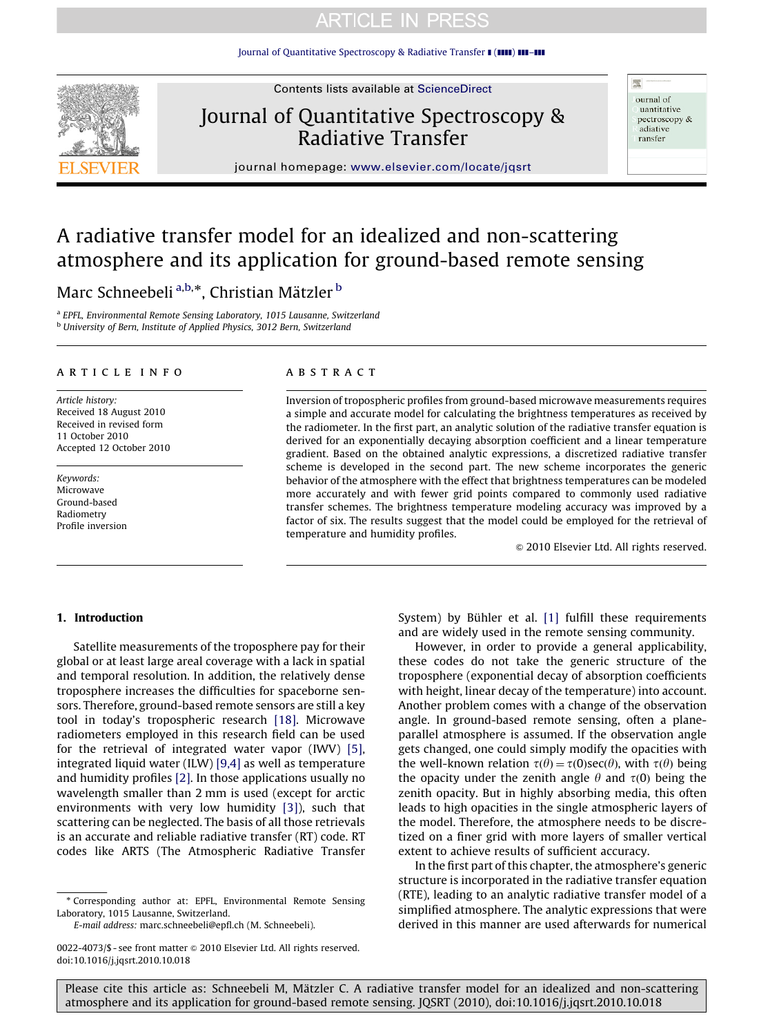[Journal of Quantitative Spectroscopy & Radiative Transfer](dx.doi.org/10.1016/j.jqsrt.2010.10.018)  $\blacksquare$  ( $\blacksquare\blacksquare$ )  $\blacksquare\blacksquare$ 



Contents lists available at ScienceDirect

# Journal of Quantitative Spectroscopy & Radiative Transfer

ournal of uantitative pectroscopy & adiative ransfer

靈

journal homepage: <www.elsevier.com/locate/jqsrt>

# A radiative transfer model for an idealized and non-scattering atmosphere and its application for ground-based remote sensing

Marc Schneebeli <sup>a,b,</sup>\*, Christian Mätzler <sup>b</sup>

<sup>a</sup> EPFL, Environmental Remote Sensing Laboratory, 1015 Lausanne, Switzerland **b University of Bern, Institute of Applied Physics, 3012 Bern, Switzerland** 

#### article info

Article history: Received 18 August 2010 Received in revised form 11 October 2010 Accepted 12 October 2010

Keywords: Microwave Ground-based Radiometry Profile inversion

## **ABSTRACT**

Inversion of tropospheric profiles from ground-based microwave measurements requires a simple and accurate model for calculating the brightness temperatures as received by the radiometer. In the first part, an analytic solution of the radiative transfer equation is derived for an exponentially decaying absorption coefficient and a linear temperature gradient. Based on the obtained analytic expressions, a discretized radiative transfer scheme is developed in the second part. The new scheme incorporates the generic behavior of the atmosphere with the effect that brightness temperatures can be modeled more accurately and with fewer grid points compared to commonly used radiative transfer schemes. The brightness temperature modeling accuracy was improved by a factor of six. The results suggest that the model could be employed for the retrieval of temperature and humidity profiles.

 $©$  2010 Elsevier Ltd. All rights reserved.

#### 1. Introduction

Satellite measurements of the troposphere pay for their global or at least large areal coverage with a lack in spatial and temporal resolution. In addition, the relatively dense troposphere increases the difficulties for spaceborne sensors. Therefore, ground-based remote sensors are still a key tool in today's tropospheric research [\[18\]](#page-9-0). Microwave radiometers employed in this research field can be used for the retrieval of integrated water vapor (IWV) [\[5\]](#page-9-0), integrated liquid water (ILW) [\[9,4\]](#page-9-0) as well as temperature and humidity profiles [\[2\].](#page-9-0) In those applications usually no wavelength smaller than 2 mm is used (except for arctic environments with very low humidity [\[3\]\)](#page-9-0), such that scattering can be neglected. The basis of all those retrievals is an accurate and reliable radiative transfer (RT) code. RT codes like ARTS (The Atmospheric Radiative Transfer

- Corresponding author at: EPFL, Environmental Remote Sensing Laboratory, 1015 Lausanne, Switzerland.

E-mail address: [marc.schneebeli@epfl.ch \(M. Schneebeli\).](mailto:marc.schneebeli@epfl.ch)

System) by Bühler et al.  $[1]$  fulfill these requirements and are widely used in the remote sensing community.

However, in order to provide a general applicability, these codes do not take the generic structure of the troposphere (exponential decay of absorption coefficients with height, linear decay of the temperature) into account. Another problem comes with a change of the observation angle. In ground-based remote sensing, often a planeparallel atmosphere is assumed. If the observation angle gets changed, one could simply modify the opacities with the well-known relation  $\tau(\theta) = \tau(0)\sec(\theta)$ , with  $\tau(\theta)$  being the opacity under the zenith angle  $\theta$  and  $\tau(0)$  being the zenith opacity. But in highly absorbing media, this often leads to high opacities in the single atmospheric layers of the model. Therefore, the atmosphere needs to be discretized on a finer grid with more layers of smaller vertical extent to achieve results of sufficient accuracy.

In the first part of this chapter, the atmosphere's generic structure is incorporated in the radiative transfer equation (RTE), leading to an analytic radiative transfer model of a simplified atmosphere. The analytic expressions that were derived in this manner are used afterwards for numerical

<sup>0022-4073/\$ -</sup> see front matter @ 2010 Elsevier Ltd. All rights reserved. doi:[10.1016/j.jqsrt.2010.10.018](dx.doi.org/10.1016/j.jqsrt.2010.10.018)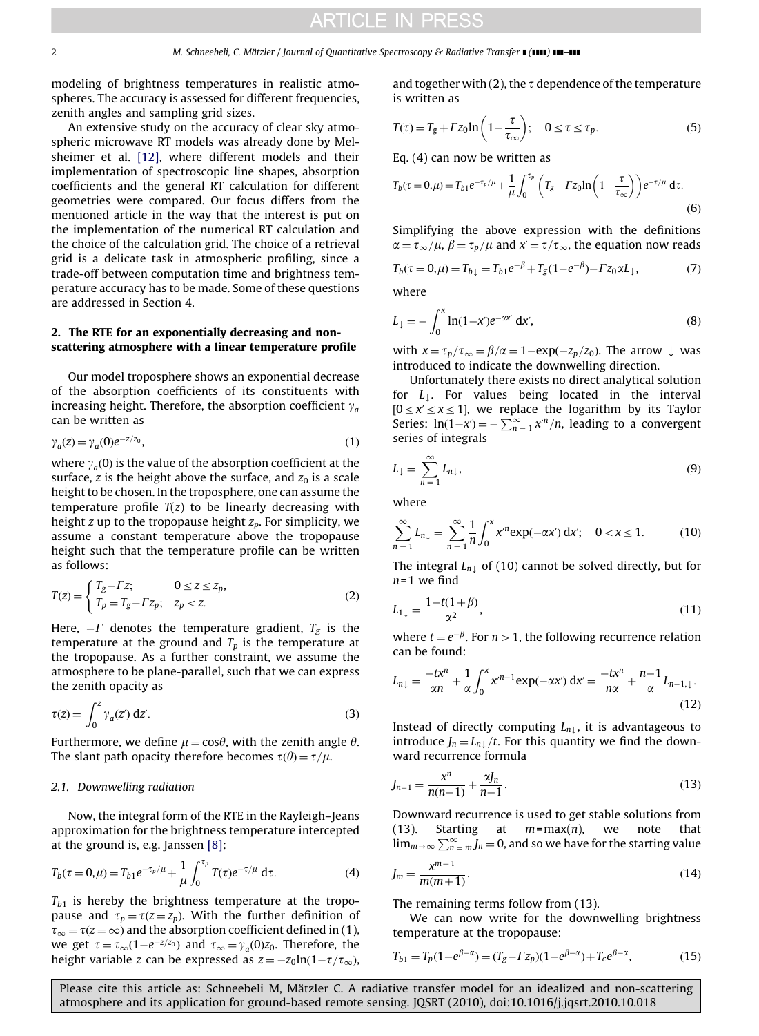modeling of brightness temperatures in realistic atmospheres. The accuracy is assessed for different frequencies, zenith angles and sampling grid sizes.

An extensive study on the accuracy of clear sky atmospheric microwave RT models was already done by Melsheimer et al. [\[12\]](#page-9-0), where different models and their implementation of spectroscopic line shapes, absorption coefficients and the general RT calculation for different geometries were compared. Our focus differs from the mentioned article in the way that the interest is put on the implementation of the numerical RT calculation and the choice of the calculation grid. The choice of a retrieval grid is a delicate task in atmospheric profiling, since a trade-off between computation time and brightness temperature accuracy has to be made. Some of these questions are addressed in Section 4.

## 2. The RTE for an exponentially decreasing and nonscattering atmosphere with a linear temperature profile

Our model troposphere shows an exponential decrease of the absorption coefficients of its constituents with increasing height. Therefore, the absorption coefficient  $\gamma_a$ can be written as

$$
\gamma_a(z) = \gamma_a(0)e^{-z/z_0},\tag{1}
$$

where  $\gamma_a(0)$  is the value of the absorption coefficient at the surface, z is the height above the surface, and  $z_0$  is a scale height to be chosen. In the troposphere, one can assume the temperature profile  $T(z)$  to be linearly decreasing with height z up to the tropopause height  $z_p$ . For simplicity, we assume a constant temperature above the tropopause height such that the temperature profile can be written as follows:

$$
T(z) = \begin{cases} T_g - \Gamma z; & 0 \le z \le z_p, \\ T_p = T_g - \Gamma z_p; & z_p < z. \end{cases} \tag{2}
$$

Here,  $-\mathit{\Gamma}$  denotes the temperature gradient,  $T_{\mathrm{g}}$  is the temperature at the ground and  $T_p$  is the temperature at the tropopause. As a further constraint, we assume the atmosphere to be plane-parallel, such that we can express the zenith opacity as

$$
\tau(z) = \int_0^z \gamma_a(z') \, dz'.
$$
 (3)

Furthermore, we define  $\mu = \cos \theta$ , with the zenith angle  $\theta$ . The slant path opacity therefore becomes  $\tau(\theta) = \tau/\mu$ .

#### 2.1. Downwelling radiation

Now, the integral form of the RTE in the Rayleigh–Jeans approximation for the brightness temperature intercepted at the ground is, e.g. Janssen [\[8\]:](#page-9-0)

$$
T_b(\tau = 0, \mu) = T_{b1} e^{-\tau_p/\mu} + \frac{1}{\mu} \int_0^{\tau_p} T(\tau) e^{-\tau/\mu} d\tau.
$$
 (4)

 $T_{b1}$  is hereby the brightness temperature at the tropopause and  $\tau_p = \tau(z = z_p)$ . With the further definition of  $\tau_{\infty} = \tau(z = \infty)$  and the absorption coefficient defined in (1), we get  $\tau = \tau_{\infty} (1-e^{-z/z_0})$  and  $\tau_{\infty} = \gamma_a(0)z_0$ . Therefore, the height variable z can be expressed as  $z = -z_0 \ln(1 - \tau/\tau_\infty)$ ,

and together with (2), the  $\tau$  dependence of the temperature is written as

$$
T(\tau) = T_g + \Gamma z_0 \ln\left(1 - \frac{\tau}{\tau_{\infty}}\right); \quad 0 \le \tau \le \tau_p. \tag{5}
$$

Eq. (4) can now be written as

$$
T_b(\tau = 0, \mu) = T_{b1} e^{-\tau_p/\mu} + \frac{1}{\mu} \int_0^{\tau_p} \left( T_g + \Gamma z_0 \ln \left( 1 - \frac{\tau}{\tau_\infty} \right) \right) e^{-\tau/\mu} d\tau.
$$
\n(6)

Simplifying the above expression with the definitions  $\alpha = \tau_{\infty}/\mu$ ,  $\beta = \tau_p/\mu$  and  $x' = \tau/\tau_{\infty}$ , the equation now reads

$$
T_b(\tau = 0, \mu) = T_{b\downarrow} = T_{b1}e^{-\beta} + T_g(1 - e^{-\beta}) - \Gamma z_0 \alpha L_\downarrow,
$$
 (7)

where

$$
L_{\downarrow} = -\int_0^x \ln(1 - x') e^{-\alpha x'} \, \mathrm{d}x',\tag{8}
$$

with  $x = \tau_p / \tau_{\infty} = \beta / \alpha = 1 - \exp(-z_p / z_0)$ . The arrow  $\downarrow$  was introduced to indicate the downwelling direction.

Unfortunately there exists no direct analytical solution for  $L_1$ . For values being located in the interval  $[0 \le x' \le x \le 1]$ , we replace the logarithm by its Taylor Series:  $\ln(1-x') = -\sum_{n=1}^{\infty} x^n/n$ , leading to a convergent series of integrals

$$
L_{\downarrow} = \sum_{n=1}^{\infty} L_{n\downarrow},\tag{9}
$$

where

$$
\sum_{n=1}^{\infty} L_{n\downarrow} = \sum_{n=1}^{\infty} \frac{1}{n} \int_0^x x^n \exp(-\alpha x') \, \mathrm{d}x'; \quad 0 < x \le 1. \tag{10}
$$

The integral  $L_{n\downarrow}$  of (10) cannot be solved directly, but for  $n=1$  we find

$$
L_{1\downarrow} = \frac{1 - t(1 + \beta)}{\alpha^2},\tag{11}
$$

where  $t = e^{-\beta}$ . For  $n > 1$ , the following recurrence relation can be found:

$$
L_{n\downarrow} = \frac{-tx^n}{\alpha n} + \frac{1}{\alpha} \int_0^x x^{n-1} \exp(-\alpha x') dx' = \frac{-tx^n}{n\alpha} + \frac{n-1}{\alpha} L_{n-1,\downarrow}.
$$
\n(12)

Instead of directly computing  $L_{n\perp}$ , it is advantageous to introduce  $J_n=L_{n}$  /t. For this quantity we find the downward recurrence formula

$$
J_{n-1} = \frac{x^n}{n(n-1)} + \frac{\alpha J_n}{n-1}.
$$
\n(13)

Downward recurrence is used to get stable solutions from (13). Starting at  $m = max(n)$ , we note that  $\lim_{m \to \infty} \sum_{n=m}^{\infty} J_n = 0$ , and so we have for the starting value

$$
J_m = \frac{x^{m+1}}{m(m+1)}.\tag{14}
$$

The remaining terms follow from (13).

We can now write for the downwelling brightness temperature at the tropopause:

$$
T_{b1} = T_p(1 - e^{\beta - \alpha}) = (T_g - \Gamma z_p)(1 - e^{\beta - \alpha}) + T_c e^{\beta - \alpha},
$$
\n(15)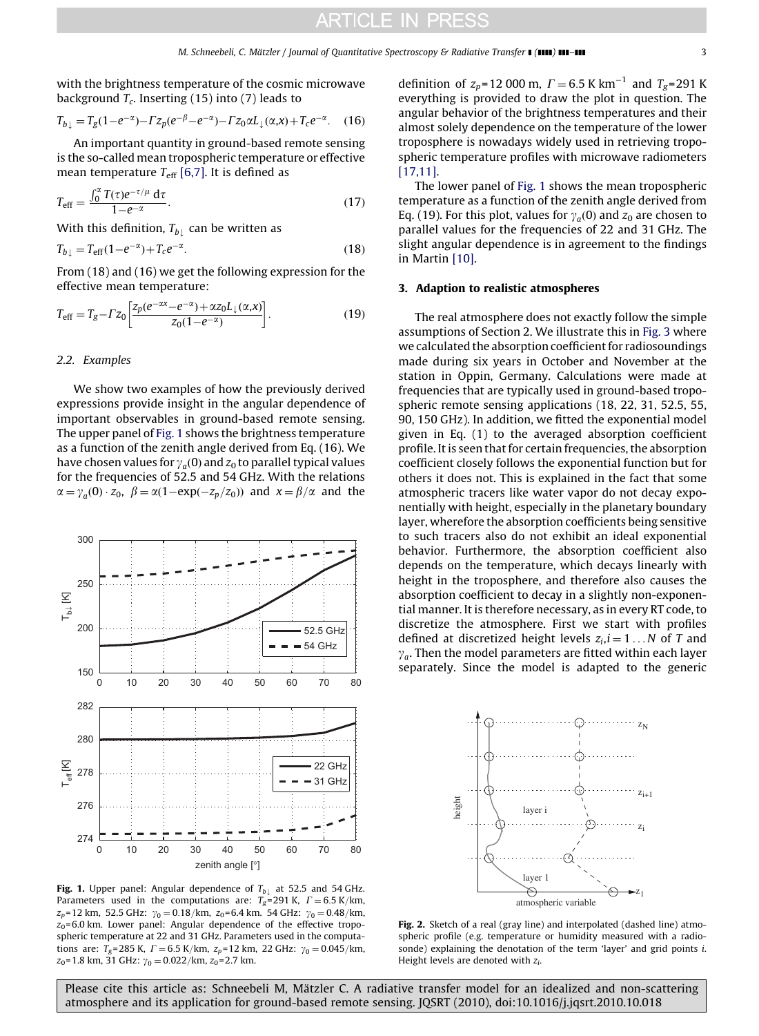<span id="page-2-0"></span>with the brightness temperature of the cosmic microwave background  $T_c$ . Inserting (15) into (7) leads to

$$
T_{b\downarrow} = T_g(1 - e^{-\alpha}) - \Gamma z_p(e^{-\beta} - e^{-\alpha}) - \Gamma z_0 \alpha L_{\downarrow}(\alpha, x) + T_c e^{-\alpha}.
$$
 (16)

An important quantity in ground-based remote sensing is the so-called mean tropospheric temperature or effective mean temperature  $T_{\text{eff}}$  [\[6,7\].](#page-9-0) It is defined as

$$
T_{\text{eff}} = \frac{\int_0^{\alpha} T(\tau) e^{-\tau/\mu} d\tau}{1 - e^{-\alpha}}.
$$
 (17)

With this definition,  $T_{b\downarrow}$  can be written as

$$
T_{b\downarrow} = T_{\text{eff}}(1 - e^{-\alpha}) + T_c e^{-\alpha}.
$$
\n(18)

From (18) and (16) we get the following expression for the effective mean temperature:

$$
T_{\text{eff}} = T_g - \Gamma z_0 \left[ \frac{z_p (e^{-\alpha x} - e^{-\alpha}) + \alpha z_0 L_{\downarrow}(\alpha, x)}{z_0 (1 - e^{-\alpha})} \right].
$$
 (19)

#### 2.2. Examples

We show two examples of how the previously derived expressions provide insight in the angular dependence of important observables in ground-based remote sensing. The upper panel of Fig. 1 shows the brightness temperature as a function of the zenith angle derived from Eq. (16). We have chosen values for  $\gamma_a(0)$  and  $z_0$  to parallel typical values for the frequencies of 52.5 and 54 GHz. With the relations  $\alpha = \gamma_a(0) \cdot z_0$ ,  $\beta = \alpha(1 - \exp(-z_p/z_0))$  and  $x = \beta/\alpha$  and the



Fig. 1. Upper panel: Angular dependence of  $T_{b\downarrow}$  at 52.5 and 54 GHz. Parameters used in the computations are:  $T_g$ =291 K,  $\Gamma$  = 6.5 K/km,  $z_p$ =12 km, 52.5 GHz:  $\gamma_0 = 0.18$ /km,  $z_0$ =6.4 km. 54 GHz:  $\gamma_0 = 0.48$ /km,  $z_0$ =6.0 km. Lower panel: Angular dependence of the effective tropospheric temperature at 22 and 31 GHz. Parameters used in the computations are:  $T_g$ =285 K,  $\Gamma$  = 6.5 K/km,  $z_p$ =12 km, 22 GHz:  $\gamma_0$  = 0.045/km,  $z_0$ =1.8 km, 31 GHz:  $\gamma_0 = 0.022$ /km,  $z_0$ =2.7 km.

definition of  $z_p$ =12 000 m,  $\Gamma$  = 6.5 K km<sup>-1</sup> and  $T_g$ =291 K everything is provided to draw the plot in question. The angular behavior of the brightness temperatures and their almost solely dependence on the temperature of the lower troposphere is nowadays widely used in retrieving tropospheric temperature profiles with microwave radiometers [\[17,11\]](#page-9-0).

The lower panel of Fig. 1 shows the mean tropospheric temperature as a function of the zenith angle derived from Eq. (19). For this plot, values for  $\gamma_a(0)$  and  $z_0$  are chosen to parallel values for the frequencies of 22 and 31 GHz. The slight angular dependence is in agreement to the findings in Martin [\[10\]](#page-9-0).

#### 3. Adaption to realistic atmospheres

The real atmosphere does not exactly follow the simple assumptions of Section 2. We illustrate this in [Fig. 3](#page-3-0) where we calculated the absorption coefficient for radiosoundings made during six years in October and November at the station in Oppin, Germany. Calculations were made at frequencies that are typically used in ground-based tropospheric remote sensing applications (18, 22, 31, 52.5, 55, 90, 150 GHz). In addition, we fitted the exponential model given in Eq. (1) to the averaged absorption coefficient profile. It is seen that for certain frequencies, the absorption coefficient closely follows the exponential function but for others it does not. This is explained in the fact that some atmospheric tracers like water vapor do not decay exponentially with height, especially in the planetary boundary layer, wherefore the absorption coefficients being sensitive to such tracers also do not exhibit an ideal exponential behavior. Furthermore, the absorption coefficient also depends on the temperature, which decays linearly with height in the troposphere, and therefore also causes the absorption coefficient to decay in a slightly non-exponential manner. It is therefore necessary, as in every RT code, to discretize the atmosphere. First we start with profiles defined at discretized height levels  $z_i$ ,  $i = 1...N$  of T and  $\gamma_a$ . Then the model parameters are fitted within each layer separately. Since the model is adapted to the generic



Fig. 2. Sketch of a real (gray line) and interpolated (dashed line) atmospheric profile (e.g. temperature or humidity measured with a radiosonde) explaining the denotation of the term 'layer' and grid points i. Height levels are denoted with  $z_i$ .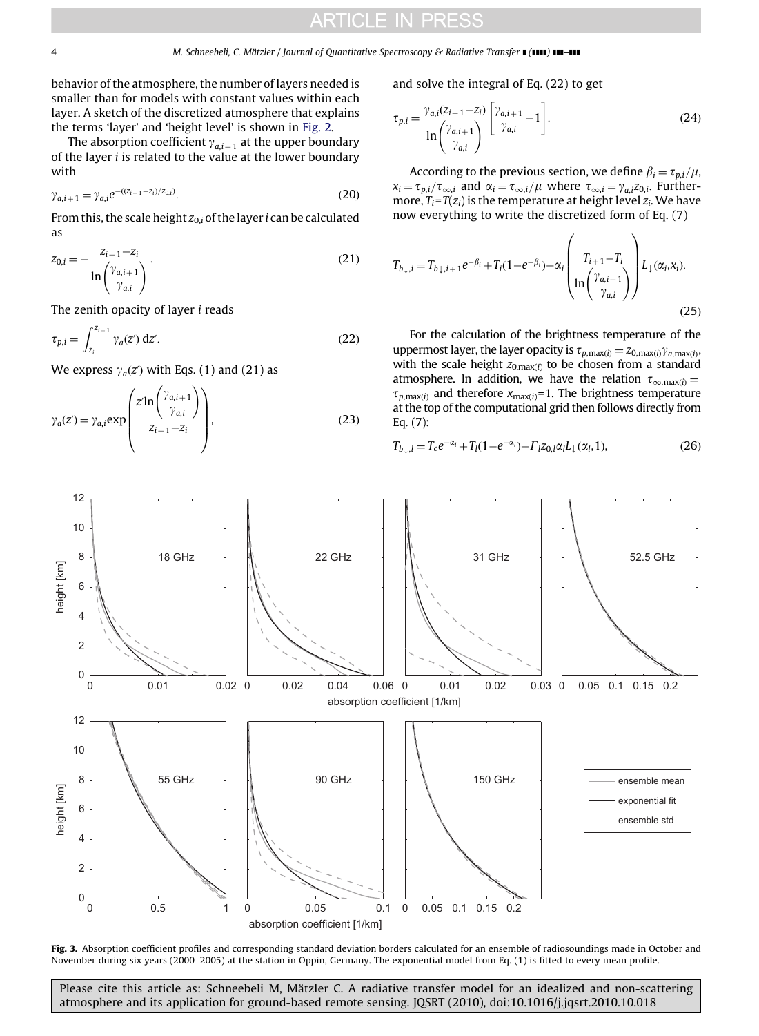<span id="page-3-0"></span>behavior of the atmosphere, the number of layers needed is smaller than for models with constant values within each layer. A sketch of the discretized atmosphere that explains the terms 'layer' and 'height level' is shown in [Fig. 2.](#page-2-0)

The absorption coefficient  $\gamma_{a,i+1}$  at the upper boundary of the layer  $i$  is related to the value at the lower boundary with

$$
\gamma_{a,i+1} = \gamma_{a,i} e^{-(z_{i+1} - z_i)/z_{0,i})}.
$$
\n(20)

From this, the scale height  $z_{0,i}$  of the layer i can be calculated as

$$
z_{0,i} = -\frac{z_{i+1} - z_i}{\ln\left(\frac{\gamma_{a,i+1}}{\gamma_{a,i}}\right)}.
$$
\n(21)

The zenith opacity of layer i reads

$$
\tau_{p,i} = \int_{z_i}^{z_{i+1}} \gamma_a(z') \, dz'.
$$
 (22)

We express  $\gamma_q(z)$  with Eqs. (1) and (21) as

$$
\gamma_a(z') = \gamma_{a,i} \exp\left(\frac{z'\ln\left(\frac{\gamma_{a,i+1}}{\gamma_{a,i}}\right)}{z_{i+1}-z_i}\right),\tag{23}
$$

and solve the integral of Eq. (22) to get

$$
\tau_{p,i} = \frac{\gamma_{a,i}(z_{i+1} - z_i)}{\ln\left(\frac{\gamma_{a,i+1}}{\gamma_{a,i}}\right)} \left[\frac{\gamma_{a,i+1}}{\gamma_{a,i}} - 1\right].
$$
\n(24)

According to the previous section, we define  $\beta_i = \tau_{p,i}/\mu$ ,  $x_i = \tau_{p,i}/\tau_{\infty,i}$  and  $\alpha_i = \tau_{\infty,i}/\mu$  where  $\tau_{\infty,i} = \gamma_{a,i}z_{0,i}$ . Furthermore,  $T_i = T(z_i)$  is the temperature at height level  $z_i$ . We have now everything to write the discretized form of Eq. (7)

$$
T_{b\downarrow,i} = T_{b\downarrow,i+1}e^{-\beta_i} + T_i(1 - e^{-\beta_i}) - \alpha_i \left(\frac{T_{i+1} - T_i}{\ln\left(\frac{\gamma_{a,i+1}}{\gamma_{a,i}}\right)}\right) L_\downarrow(\alpha_i, x_i).
$$
\n(25)

For the calculation of the brightness temperature of the uppermost layer, the layer opacity is  $\tau_{p,\max(i)} = z_{0,\max(i)} \gamma_{a,\max(i)}$ with the scale height  $z_{0,\text{max}(i)}$  to be chosen from a standard atmosphere. In addition, we have the relation  $\tau_{\infty,\text{max}(i)} =$  $\tau_{p,\text{max}(i)}$  and therefore  $x_{\text{max}(i)}$ =1. The brightness temperature at the top of the computational grid then follows directly from Eq. (7):

$$
T_{b\downarrow,l} = T_c e^{-\alpha_l} + T_l (1 - e^{-\alpha_l}) - \Gamma_l z_{0,l} \alpha_l L_\downarrow (\alpha_l, 1),
$$
\n(26)



Fig. 3. Absorption coefficient profiles and corresponding standard deviation borders calculated for an ensemble of radiosoundings made in October and November during six years (2000–2005) at the station in Oppin, Germany. The exponential model from Eq. (1) is fitted to every mean profile.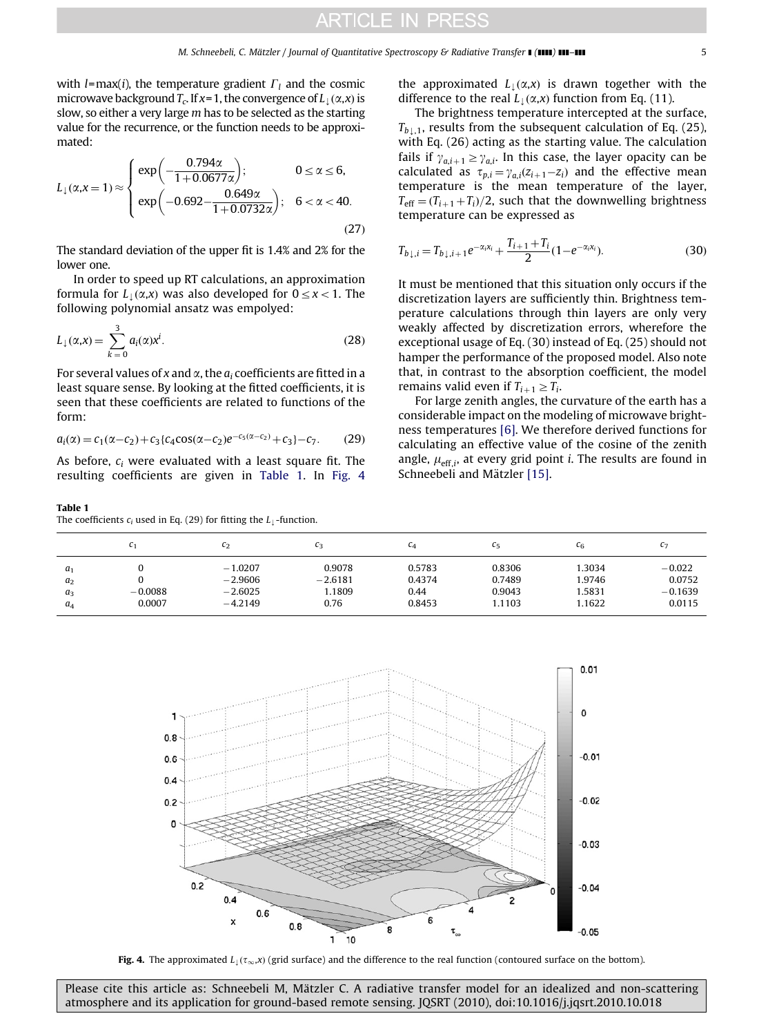with *l*=max(*i*), the temperature gradient  $\Gamma_l$  and the cosmic microwave background  $T_c$ . If  $x=1$ , the convergence of  $L_k(\alpha, x)$  is slow, so either a very large m has to be selected as the starting value for the recurrence, or the function needs to be approximated:

$$
L_1(\alpha, x = 1) \approx \begin{cases} \exp\left(-\frac{0.794\alpha}{1 + 0.0677\alpha}\right); & 0 \le \alpha \le 6, \\ \exp\left(-0.692 - \frac{0.649\alpha}{1 + 0.0732\alpha}\right); & 6 < \alpha < 40. \end{cases}
$$
(27)

The standard deviation of the upper fit is 1.4% and 2% for the lower one.

In order to speed up RT calculations, an approximation formula for  $L_1(\alpha,x)$  was also developed for  $0 \le x < 1$ . The following polynomial ansatz was empolyed:

$$
L_{\downarrow}(\alpha, x) = \sum_{k=0}^{3} a_i(\alpha) x^i.
$$
 (28)

For several values of x and  $\alpha$ , the  $a_i$  coefficients are fitted in a least square sense. By looking at the fitted coefficients, it is seen that these coefficients are related to functions of the form:

$$
a_i(\alpha) = c_1(\alpha - c_2) + c_3 \{c_4 \cos(\alpha - c_2)e^{-c_5(\alpha - c_2)} + c_3\} - c_7. \tag{29}
$$

As before,  $c_i$  were evaluated with a least square fit. The resulting coefficients are given in Table 1. In Fig. 4

## Table 1

The coefficients  $c_i$  used in Eq. (29) for fitting the  $L_1$ -function.

the approximated  $L_1(\alpha, x)$  is drawn together with the difference to the real  $L_1(\alpha, x)$  function from Eq. (11).

The brightness temperature intercepted at the surface,  $T_{b+1}$ , results from the subsequent calculation of Eq. (25), with Eq. (26) acting as the starting value. The calculation fails if  $\gamma_{a,i+1} \geq \gamma_{a,i}$ . In this case, the layer opacity can be calculated as  $\tau_{p,i} = \gamma_{a,i}(z_{i+1} - z_i)$  and the effective mean temperature is the mean temperature of the layer,  $T_{\text{eff}} = (T_{i+1} + T_i)/2$ , such that the downwelling brightness temperature can be expressed as

$$
T_{b\downarrow,i} = T_{b\downarrow,i+1}e^{-\alpha_i x_i} + \frac{T_{i+1} + T_i}{2}(1 - e^{-\alpha_i x_i}).
$$
\n(30)

It must be mentioned that this situation only occurs if the discretization layers are sufficiently thin. Brightness temperature calculations through thin layers are only very weakly affected by discretization errors, wherefore the exceptional usage of Eq. (30) instead of Eq. (25) should not hamper the performance of the proposed model. Also note that, in contrast to the absorption coefficient, the model remains valid even if  $T_{i+1} \geq T_i$ .

For large zenith angles, the curvature of the earth has a considerable impact on the modeling of microwave brightness temperatures [\[6\].](#page-9-0) We therefore derived functions for calculating an effective value of the cosine of the zenith angle,  $\mu_{\text{eff},i}$ , at every grid point *i*. The results are found in Schneebeli and Mätzler [\[15\]](#page-9-0).

|                                                    | L1                  | $c_2$                                            | $c_3$                                 | CΔ                                 | C5                                   | $c_6$                               | $C_{7}$                                   |
|----------------------------------------------------|---------------------|--------------------------------------------------|---------------------------------------|------------------------------------|--------------------------------------|-------------------------------------|-------------------------------------------|
| a <sub>1</sub><br>a <sub>2</sub><br>$a_3$<br>$a_4$ | $-0.0088$<br>0.0007 | $-1.0207$<br>$-2.9606$<br>$-2.6025$<br>$-4.2149$ | 0.9078<br>$-2.6181$<br>1.1809<br>0.76 | 0.5783<br>0.4374<br>0.44<br>0.8453 | 0.8306<br>0.7489<br>0.9043<br>1.1103 | 1.3034<br>1.9746<br>.5831<br>1.1622 | $-0.022$<br>0.0752<br>$-0.1639$<br>0.0115 |



Fig. 4. The approximated  $L_1(\tau_\infty,x)$  (grid surface) and the difference to the real function (contoured surface on the bottom).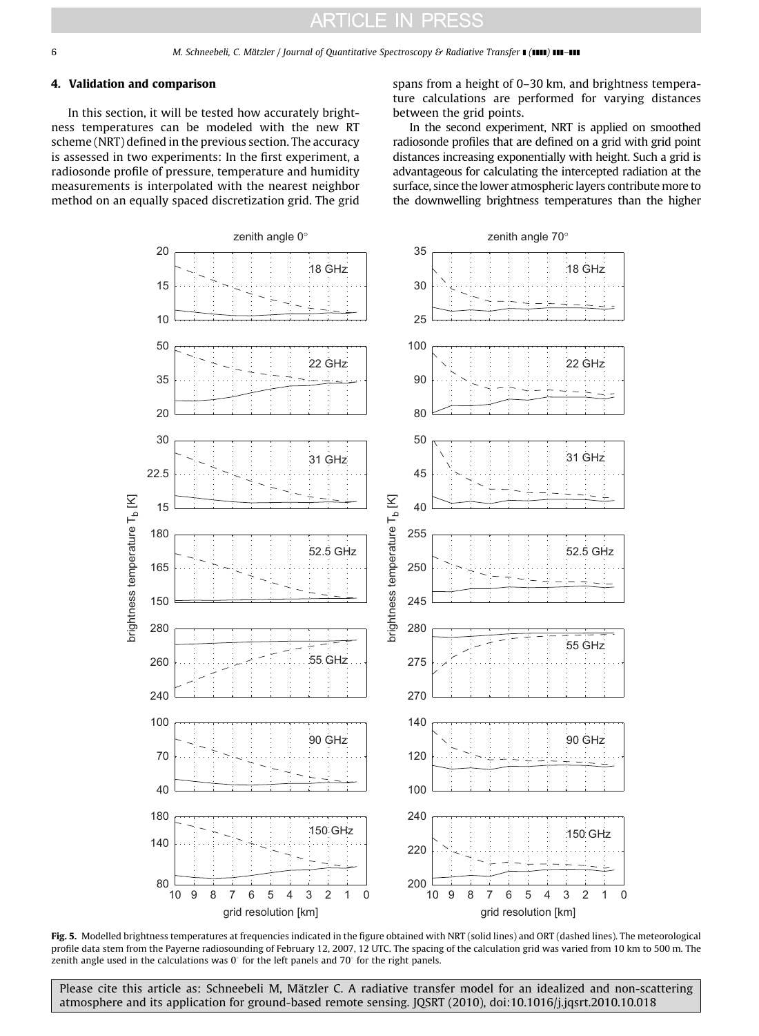### <span id="page-5-0"></span>4. Validation and comparison

In this section, it will be tested how accurately brightness temperatures can be modeled with the new RT scheme (NRT) defined in the previous section. The accuracy is assessed in two experiments: In the first experiment, a radiosonde profile of pressure, temperature and humidity measurements is interpolated with the nearest neighbor method on an equally spaced discretization grid. The grid spans from a height of 0–30 km, and brightness temperature calculations are performed for varying distances between the grid points.

In the second experiment, NRT is applied on smoothed radiosonde profiles that are defined on a grid with grid point distances increasing exponentially with height. Such a grid is advantageous for calculating the intercepted radiation at the surface, since the lower atmospheric layers contribute more to the downwelling brightness temperatures than the higher



Fig. 5. Modelled brightness temperatures at frequencies indicated in the figure obtained with NRT (solid lines) and ORT (dashed lines). The meteorological profile data stem from the Payerne radiosounding of February 12, 2007, 12 UTC. The spacing of the calculation grid was varied from 10 km to 500 m. The zenith angle used in the calculations was  $0^{\circ}$  for the left panels and 70 $^{\circ}$  for the right panels.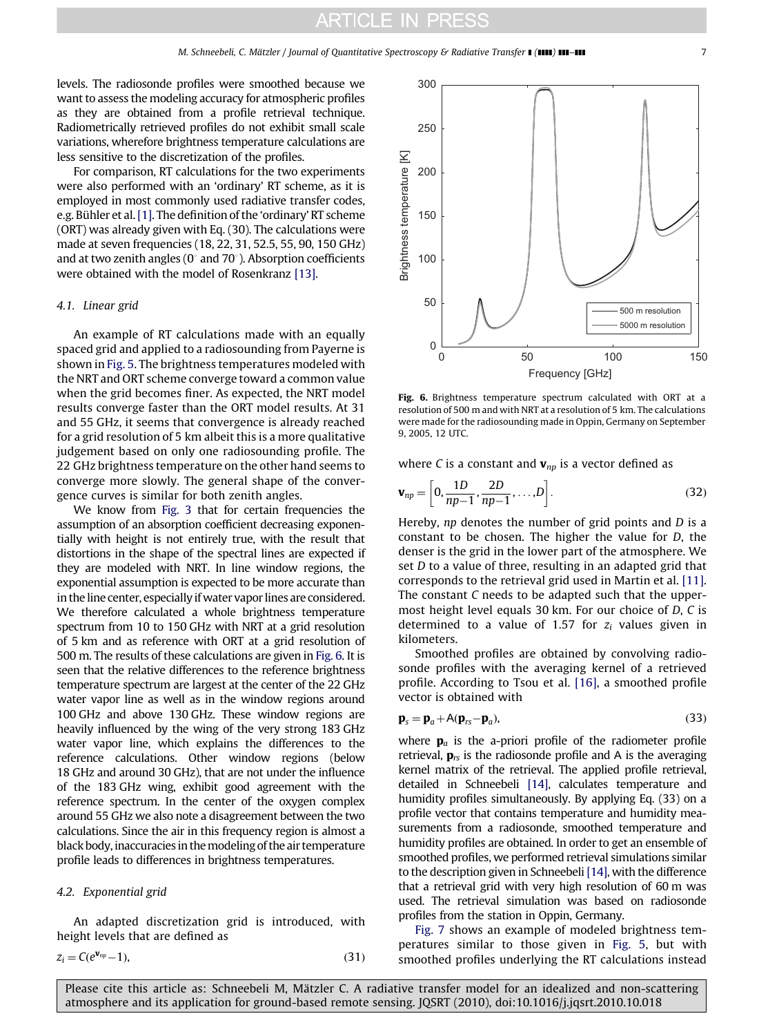levels. The radiosonde profiles were smoothed because we want to assess the modeling accuracy for atmospheric profiles as they are obtained from a profile retrieval technique. Radiometrically retrieved profiles do not exhibit small scale variations, wherefore brightness temperature calculations are less sensitive to the discretization of the profiles.

For comparison, RT calculations for the two experiments were also performed with an 'ordinary' RT scheme, as it is employed in most commonly used radiative transfer codes, e.g. Bühler et al. [\[1\]](#page-9-0). The definition of the 'ordinary' RT scheme (ORT) was already given with Eq. (30). The calculations were made at seven frequencies (18, 22, 31, 52.5, 55, 90, 150 GHz) and at two zenith angles ( $0^{\circ}$  and 70 $^{\circ}$ ). Absorption coefficients were obtained with the model of Rosenkranz [\[13\]](#page-9-0).

### 4.1. Linear grid

An example of RT calculations made with an equally spaced grid and applied to a radiosounding from Payerne is shown in [Fig. 5](#page-5-0). The brightness temperatures modeled with the NRT and ORT scheme converge toward a common value when the grid becomes finer. As expected, the NRT model results converge faster than the ORT model results. At 31 and 55 GHz, it seems that convergence is already reached for a grid resolution of 5 km albeit this is a more qualitative judgement based on only one radiosounding profile. The 22 GHz brightness temperature on the other hand seems to converge more slowly. The general shape of the convergence curves is similar for both zenith angles.

We know from [Fig. 3](#page-3-0) that for certain frequencies the assumption of an absorption coefficient decreasing exponentially with height is not entirely true, with the result that distortions in the shape of the spectral lines are expected if they are modeled with NRT. In line window regions, the exponential assumption is expected to be more accurate than in the line center, especially if water vapor lines are considered. We therefore calculated a whole brightness temperature spectrum from 10 to 150 GHz with NRT at a grid resolution of 5 km and as reference with ORT at a grid resolution of 500 m. The results of these calculations are given in Fig. 6. It is seen that the relative differences to the reference brightness temperature spectrum are largest at the center of the 22 GHz water vapor line as well as in the window regions around 100 GHz and above 130 GHz. These window regions are heavily influenced by the wing of the very strong 183 GHz water vapor line, which explains the differences to the reference calculations. Other window regions (below 18 GHz and around 30 GHz), that are not under the influence of the 183 GHz wing, exhibit good agreement with the reference spectrum. In the center of the oxygen complex around 55 GHz we also note a disagreement between the two calculations. Since the air in this frequency region is almost a black body, inaccuracies in themodeling of the air temperature profile leads to differences in brightness temperatures.

#### 4.2. Exponential grid

An adapted discretization grid is introduced, with height levels that are defined as

$$
z_i = C(e^{\mathbf{v}_{np}} - 1),\tag{31}
$$



Fig. 6. Brightness temperature spectrum calculated with ORT at a resolution of 500 m and with NRT at a resolution of 5 km. The calculations were made for the radiosounding made in Oppin, Germany on September 9, 2005, 12 UTC.

where C is a constant and  $v_{np}$  is a vector defined as

$$
\mathbf{v}_{np} = \left[0, \frac{1D}{np-1}, \frac{2D}{np-1}, \dots, D\right].
$$
 (32)

Hereby,  $np$  denotes the number of grid points and  $D$  is a constant to be chosen. The higher the value for D, the denser is the grid in the lower part of the atmosphere. We set D to a value of three, resulting in an adapted grid that corresponds to the retrieval grid used in Martin et al. [\[11\]](#page-9-0). The constant C needs to be adapted such that the uppermost height level equals 30 km. For our choice of D, C is determined to a value of 1.57 for  $z_i$  values given in kilometers.

Smoothed profiles are obtained by convolving radiosonde profiles with the averaging kernel of a retrieved profile. According to Tsou et al. [\[16\]](#page-9-0), a smoothed profile vector is obtained with

$$
\mathbf{p}_s = \mathbf{p}_a + A(\mathbf{p}_{rs} - \mathbf{p}_a),\tag{33}
$$

where  $\mathbf{p}_a$  is the a-priori profile of the radiometer profile retrieval,  $\mathbf{p}_{rs}$  is the radiosonde profile and A is the averaging kernel matrix of the retrieval. The applied profile retrieval, detailed in Schneebeli [\[14\]](#page-9-0), calculates temperature and humidity profiles simultaneously. By applying Eq. (33) on a profile vector that contains temperature and humidity measurements from a radiosonde, smoothed temperature and humidity profiles are obtained. In order to get an ensemble of smoothed profiles, we performed retrieval simulations similar to the description given in Schneebeli [\[14\],](#page-9-0) with the difference that a retrieval grid with very high resolution of 60 m was used. The retrieval simulation was based on radiosonde profiles from the station in Oppin, Germany.

[Fig. 7](#page-7-0) shows an example of modeled brightness temperatures similar to those given in [Fig. 5](#page-5-0), but with smoothed profiles underlying the RT calculations instead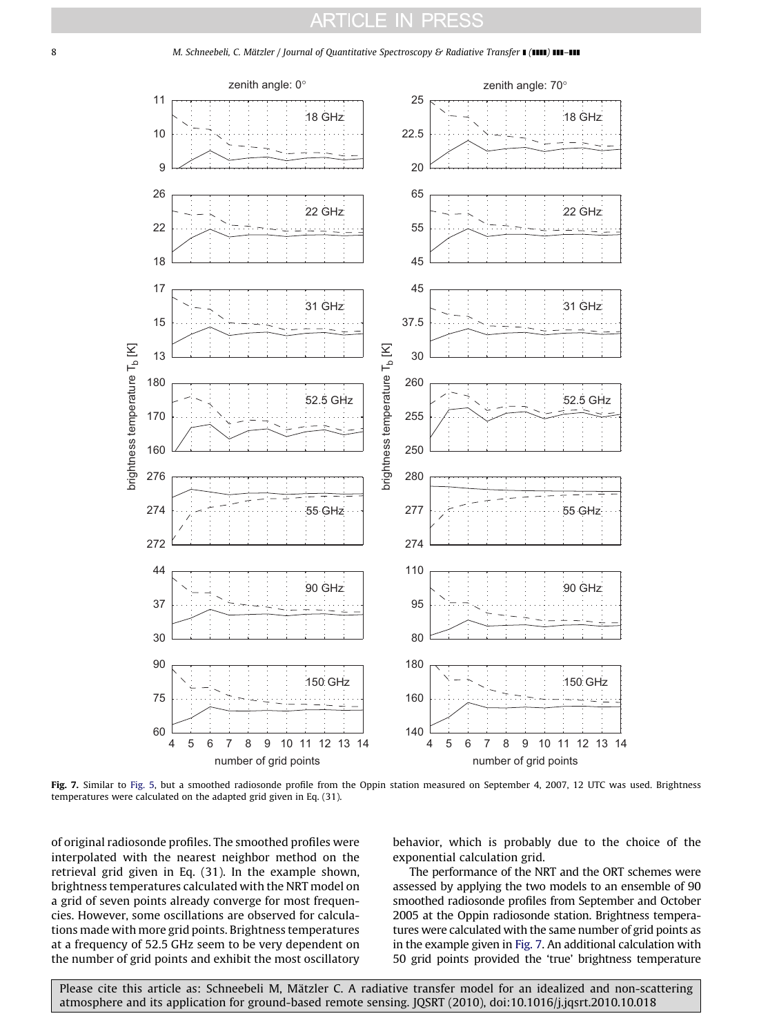

<span id="page-7-0"></span>8 M. Schneebeli, C. Mätzler / Journal of Quantitative Spectroscopy & Radiative Transfer ■ (IIII) III-III

Fig. 7. Similar to [Fig. 5,](#page-5-0) but a smoothed radiosonde profile from the Oppin station measured on September 4, 2007, 12 UTC was used. Brightness temperatures were calculated on the adapted grid given in Eq. (31).

of original radiosonde profiles. The smoothed profiles were interpolated with the nearest neighbor method on the retrieval grid given in Eq. (31). In the example shown, brightness temperatures calculated with the NRT model on a grid of seven points already converge for most frequencies. However, some oscillations are observed for calculations made with more grid points. Brightness temperatures at a frequency of 52.5 GHz seem to be very dependent on the number of grid points and exhibit the most oscillatory

behavior, which is probably due to the choice of the exponential calculation grid.

The performance of the NRT and the ORT schemes were assessed by applying the two models to an ensemble of 90 smoothed radiosonde profiles from September and October 2005 at the Oppin radiosonde station. Brightness temperatures were calculated with the same number of grid points as in the example given in Fig. 7. An additional calculation with 50 grid points provided the 'true' brightness temperature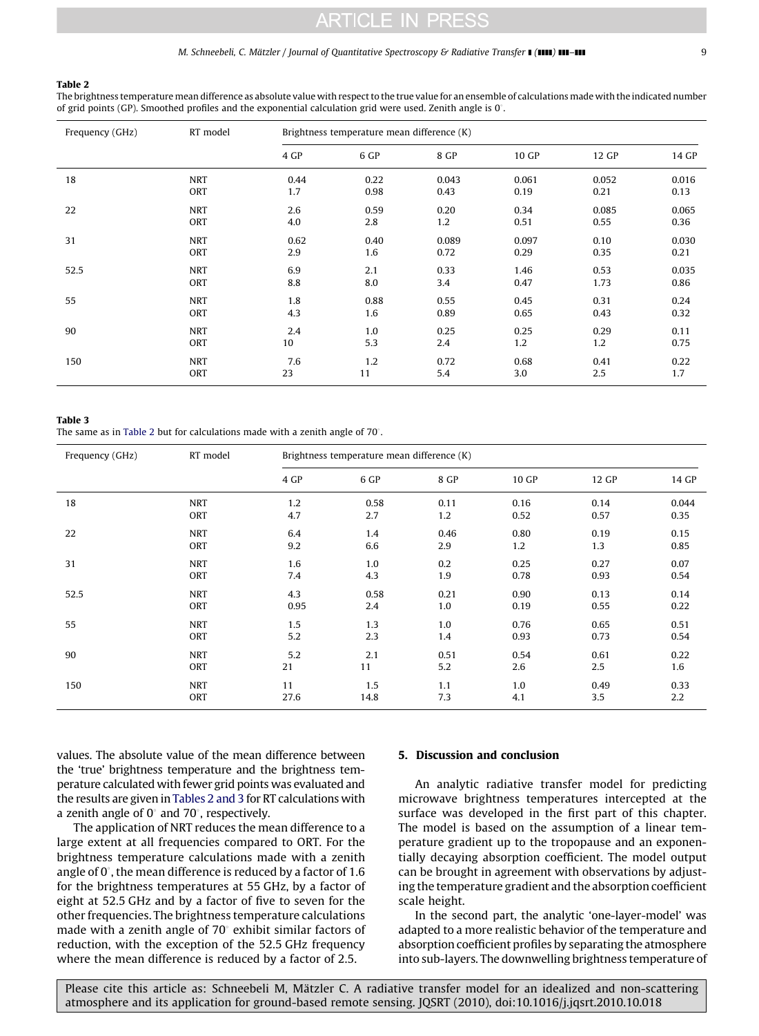#### M. Schneebeli, C. Mätzler / Journal of Quantitative Spectroscopy & Radiative Transfer  $\blacksquare$  (1111)  $\blacksquare$  111–111 99

#### Table 2

The brightness temperature mean difference as absolute value with respect to the true value for an ensemble of calculations made with the indicated number of grid points (GP). Smoothed profiles and the exponential calculation grid were used. Zenith angle is  $0^\circ$ .

| Frequency (GHz) | RT model   | Brightness temperature mean difference (K) |      |       |       |       |       |  |
|-----------------|------------|--------------------------------------------|------|-------|-------|-------|-------|--|
|                 |            | 4 GP                                       | 6 GP | 8 GP  | 10 GP | 12 GP | 14 GP |  |
| 18              | <b>NRT</b> | 0.44                                       | 0.22 | 0.043 | 0.061 | 0.052 | 0.016 |  |
|                 | ORT        | 1.7                                        | 0.98 | 0.43  | 0.19  | 0.21  | 0.13  |  |
| 22              | <b>NRT</b> | 2.6                                        | 0.59 | 0.20  | 0.34  | 0.085 | 0.065 |  |
|                 | ORT        | 4.0                                        | 2.8  | 1.2   | 0.51  | 0.55  | 0.36  |  |
| 31              | <b>NRT</b> | 0.62                                       | 0.40 | 0.089 | 0.097 | 0.10  | 0.030 |  |
|                 | ORT        | 2.9                                        | 1.6  | 0.72  | 0.29  | 0.35  | 0.21  |  |
| 52.5            | <b>NRT</b> | 6.9                                        | 2.1  | 0.33  | 1.46  | 0.53  | 0.035 |  |
|                 | ORT        | 8.8                                        | 8.0  | 3.4   | 0.47  | 1.73  | 0.86  |  |
| 55              | <b>NRT</b> | 1.8                                        | 0.88 | 0.55  | 0.45  | 0.31  | 0.24  |  |
|                 | ORT        | 4.3                                        | 1.6  | 0.89  | 0.65  | 0.43  | 0.32  |  |
| 90              | <b>NRT</b> | 2.4                                        | 1.0  | 0.25  | 0.25  | 0.29  | 0.11  |  |
|                 | ORT        | 10                                         | 5.3  | 2.4   | 1.2   | 1.2   | 0.75  |  |
| 150             | <b>NRT</b> | 7.6                                        | 1.2  | 0.72  | 0.68  | 0.41  | 0.22  |  |
|                 | ORT        | 23                                         | 11   | 5.4   | 3.0   | 2.5   | 1.7   |  |

#### Table 3

The same as in Table 2 but for calculations made with a zenith angle of  $70^{\circ}$ .

| Frequency (GHz) | RT model   | Brightness temperature mean difference (K) |      |      |       |       |       |  |
|-----------------|------------|--------------------------------------------|------|------|-------|-------|-------|--|
|                 |            | 4 GP                                       | 6 GP | 8 GP | 10 GP | 12 GP | 14 GP |  |
| 18              | <b>NRT</b> | 1.2                                        | 0.58 | 0.11 | 0.16  | 0.14  | 0.044 |  |
|                 | ORT        | 4.7                                        | 2.7  | 1.2  | 0.52  | 0.57  | 0.35  |  |
| 22              | <b>NRT</b> | 6.4                                        | 1.4  | 0.46 | 0.80  | 0.19  | 0.15  |  |
|                 | ORT        | 9.2                                        | 6.6  | 2.9  | 1.2   | 1.3   | 0.85  |  |
| 31              | <b>NRT</b> | 1.6                                        | 1.0  | 0.2  | 0.25  | 0.27  | 0.07  |  |
|                 | ORT        | 7.4                                        | 4.3  | 1.9  | 0.78  | 0.93  | 0.54  |  |
| 52.5            | <b>NRT</b> | 4.3                                        | 0.58 | 0.21 | 0.90  | 0.13  | 0.14  |  |
|                 | ORT        | 0.95                                       | 2.4  | 1.0  | 0.19  | 0.55  | 0.22  |  |
| 55              | <b>NRT</b> | 1.5                                        | 1.3  | 1.0  | 0.76  | 0.65  | 0.51  |  |
|                 | ORT        | 5.2                                        | 2.3  | 1.4  | 0.93  | 0.73  | 0.54  |  |
| 90              | <b>NRT</b> | 5.2                                        | 2.1  | 0.51 | 0.54  | 0.61  | 0.22  |  |
|                 | ORT        | 21                                         | 11   | 5.2  | 2.6   | 2.5   | 1.6   |  |
| 150             | <b>NRT</b> | 11                                         | 1.5  | 1.1  | 1.0   | 0.49  | 0.33  |  |
|                 | ORT        | 27.6                                       | 14.8 | 7.3  | 4.1   | 3.5   | 2.2   |  |

values. The absolute value of the mean difference between the 'true' brightness temperature and the brightness temperature calculated with fewer grid points was evaluated and the results are given in Tables 2 and 3 for RT calculations with a zenith angle of  $0^{\circ}$  and 70 $^{\circ}$ , respectively.

The application of NRT reduces the mean difference to a large extent at all frequencies compared to ORT. For the brightness temperature calculations made with a zenith angle of  $0^{\circ}$ , the mean difference is reduced by a factor of 1.6 for the brightness temperatures at 55 GHz, by a factor of eight at 52.5 GHz and by a factor of five to seven for the other frequencies. The brightness temperature calculations made with a zenith angle of  $70^\circ$  exhibit similar factors of reduction, with the exception of the 52.5 GHz frequency where the mean difference is reduced by a factor of 2.5.

## 5. Discussion and conclusion

An analytic radiative transfer model for predicting microwave brightness temperatures intercepted at the surface was developed in the first part of this chapter. The model is based on the assumption of a linear temperature gradient up to the tropopause and an exponentially decaying absorption coefficient. The model output can be brought in agreement with observations by adjusting the temperature gradient and the absorption coefficient scale height.

In the second part, the analytic 'one-layer-model' was adapted to a more realistic behavior of the temperature and absorption coefficient profiles by separating the atmosphere into sub-layers. The downwelling brightness temperature of